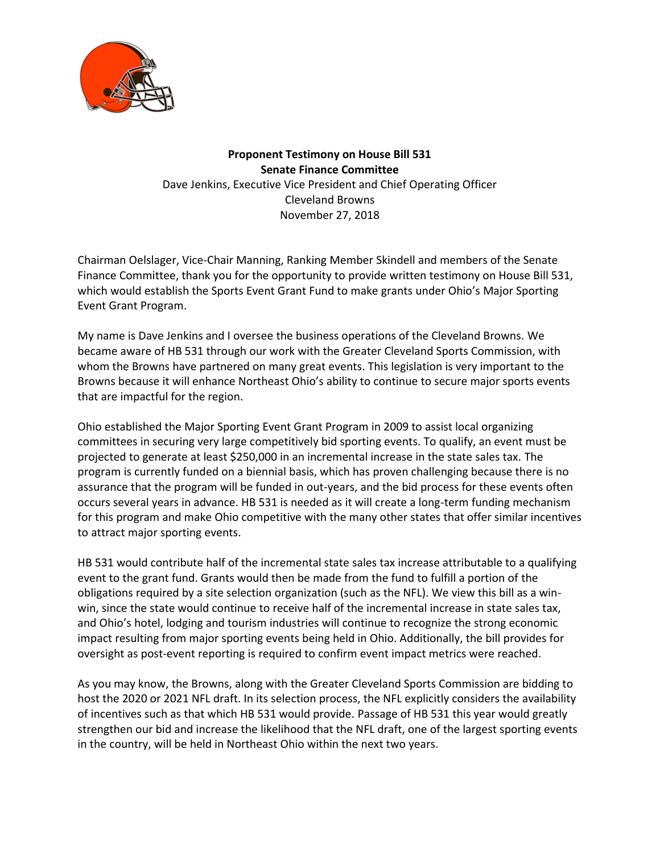

## **Proponent Testimony on House Bill 531 Senate Finance Committee** Dave Jenkins, Executive Vice President and Chief Operating Officer Cleveland Browns November 27, 2018

Chairman Oelslager, Vice-Chair Manning, Ranking Member Skindell and members of the Senate Finance Committee, thank you for the opportunity to provide written testimony on House Bill 531, which would establish the Sports Event Grant Fund to make grants under Ohio's Major Sporting Event Grant Program.

My name is Dave Jenkins and I oversee the business operations of the Cleveland Browns. We became aware of HB 531 through our work with the Greater Cleveland Sports Commission, with whom the Browns have partnered on many great events. This legislation is very important to the Browns because it will enhance Northeast Ohio's ability to continue to secure major sports events that are impactful for the region.

Ohio established the Major Sporting Event Grant Program in 2009 to assist local organizing committees in securing very large competitively bid sporting events. To qualify, an event must be projected to generate at least \$250,000 in an incremental increase in the state sales tax. The program is currently funded on a biennial basis, which has proven challenging because there is no assurance that the program will be funded in out-years, and the bid process for these events often occurs several years in advance. HB 531 is needed as it will create a long-term funding mechanism for this program and make Ohio competitive with the many other states that offer similar incentives to attract major sporting events.

HB 531 would contribute half of the incremental state sales tax increase attributable to a qualifying event to the grant fund. Grants would then be made from the fund to fulfill a portion of the obligations required by a site selection organization (such as the NFL). We view this bill as a winwin, since the state would continue to receive half of the incremental increase in state sales tax, and Ohio's hotel, lodging and tourism industries will continue to recognize the strong economic impact resulting from major sporting events being held in Ohio. Additionally, the bill provides for oversight as post-event reporting is required to confirm event impact metrics were reached.

As you may know, the Browns, along with the Greater Cleveland Sports Commission are bidding to host the 2020 or 2021 NFL draft. In its selection process, the NFL explicitly considers the availability of incentives such as that which HB 531 would provide. Passage of HB 531 this year would greatly strengthen our bid and increase the likelihood that the NFL draft, one of the largest sporting events in the country, will be held in Northeast Ohio within the next two years.